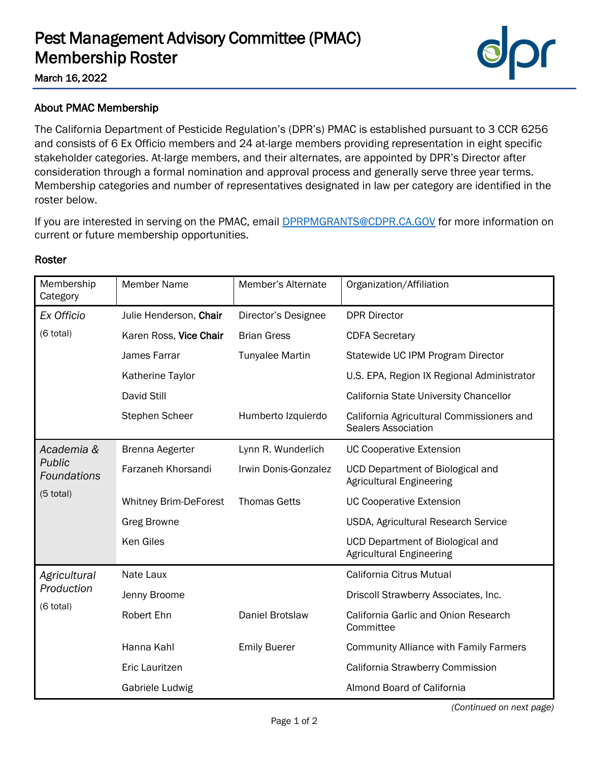## Pest Management Advisory Committee (PMAC) Membership Roster



March 16, 2022

## About PMAC Membership

The California Department of Pesticide Regulation's (DPR's) PMAC is established pursuant to 3 CCR 6256 and consists of 6 Ex Officio members and 24 at-large members providing representation in eight specific stakeholder categories. At-large members, and their alternates, are appointed by DPR's Director after consideration through a formal nomination and approval process and generally serve three year terms. Membership categories and number of representatives designated in law per category are identified in the roster below.

If you are interested in serving on the PMAC, email **DPRPMGRANTS@CDPR.CA.GOV** for more information on current or future membership opportunities.

| Membership<br>Category                                    | <b>Member Name</b>           | Member's Alternate     | Organization/Affiliation                                                   |
|-----------------------------------------------------------|------------------------------|------------------------|----------------------------------------------------------------------------|
| Ex Officio<br>(6 total)                                   | Julie Henderson, Chair       | Director's Designee    | <b>DPR Director</b>                                                        |
|                                                           | Karen Ross, Vice Chair       | <b>Brian Gress</b>     | <b>CDFA Secretary</b>                                                      |
|                                                           | James Farrar                 | <b>Tunyalee Martin</b> | Statewide UC IPM Program Director                                          |
|                                                           | Katherine Taylor             |                        | U.S. EPA, Region IX Regional Administrator                                 |
|                                                           | David Still                  |                        | California State University Chancellor                                     |
|                                                           | <b>Stephen Scheer</b>        | Humberto Izquierdo     | California Agricultural Commissioners and<br><b>Sealers Association</b>    |
| Academia &<br>Public<br><b>Foundations</b><br>$(5$ total) | Brenna Aegerter              | Lynn R. Wunderlich     | <b>UC Cooperative Extension</b>                                            |
|                                                           | Farzaneh Khorsandi           | Irwin Donis-Gonzalez   | <b>UCD Department of Biological and</b><br><b>Agricultural Engineering</b> |
|                                                           | <b>Whitney Brim-DeForest</b> | <b>Thomas Getts</b>    | <b>UC Cooperative Extension</b>                                            |
|                                                           | <b>Greg Browne</b>           |                        | USDA, Agricultural Research Service                                        |
|                                                           | <b>Ken Giles</b>             |                        | <b>UCD Department of Biological and</b><br><b>Agricultural Engineering</b> |
| Agricultural<br>Production<br>(6 total)                   | Nate Laux                    |                        | California Citrus Mutual                                                   |
|                                                           | Jenny Broome                 |                        | Driscoll Strawberry Associates, Inc.                                       |
|                                                           | Robert Ehn                   | Daniel Brotslaw        | California Garlic and Onion Research<br>Committee                          |
|                                                           | Hanna Kahl                   | <b>Emily Buerer</b>    | <b>Community Alliance with Family Farmers</b>                              |
|                                                           | Eric Lauritzen               |                        | California Strawberry Commission                                           |
|                                                           | Gabriele Ludwig              |                        | Almond Board of California                                                 |

## Roster

*(Continued on next page)*